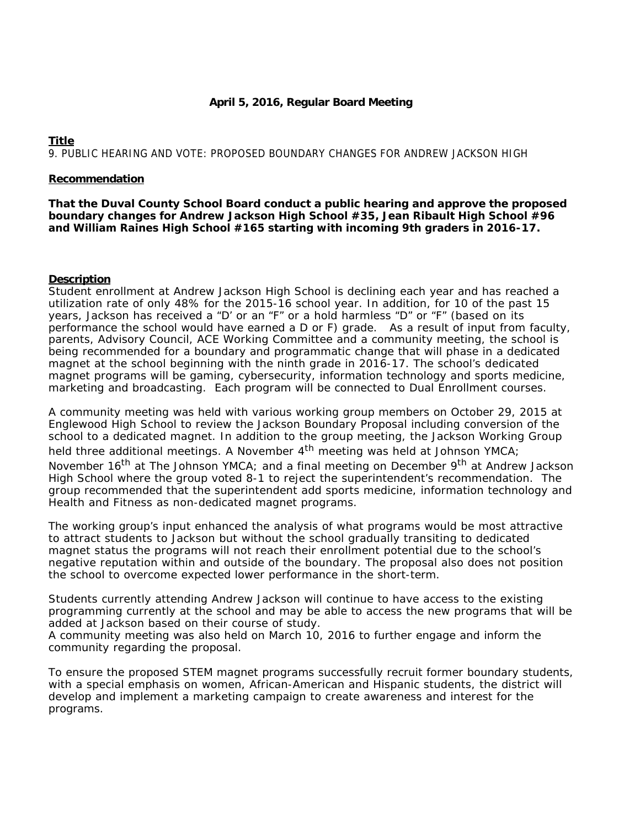# **April 5, 2016, Regular Board Meeting**

# **Title** 9. PUBLIC HEARING AND VOTE: PROPOSED BOUNDARY CHANGES FOR ANDREW JACKSON HIGH

## **Recommendation**

**That the Duval County School Board conduct a public hearing and approve the proposed boundary changes for Andrew Jackson High School #35, Jean Ribault High School #96 and William Raines High School #165 starting with incoming 9th graders in 2016-17.**

# **Description**

Student enrollment at Andrew Jackson High School is declining each year and has reached a utilization rate of only 48% for the 2015-16 school year. In addition, for 10 of the past 15 years, Jackson has received a "D' or an "F" or a hold harmless "D" or "F" (based on its performance the school would have earned a D or F) grade. As a result of input from faculty, parents, Advisory Council, ACE Working Committee and a community meeting, the school is being recommended for a boundary and programmatic change that will phase in a dedicated magnet at the school beginning with the ninth grade in 2016-17. The school's dedicated magnet programs will be gaming, cybersecurity, information technology and sports medicine, marketing and broadcasting. Each program will be connected to Dual Enrollment courses.

A community meeting was held with various working group members on October 29, 2015 at Englewood High School to review the Jackson Boundary Proposal including conversion of the school to a dedicated magnet. In addition to the group meeting, the Jackson Working Group held three additional meetings. A November  $4<sup>th</sup>$  meeting was held at Johnson YMCA; November 16<sup>th</sup> at The Johnson YMCA; and a final meeting on December 9<sup>th</sup> at Andrew Jackson High School where the group voted 8-1 to reject the superintendent's recommendation. The group recommended that the superintendent add sports medicine, information technology and Health and Fitness as non-dedicated magnet programs.

The working group's input enhanced the analysis of what programs would be most attractive to attract students to Jackson but without the school gradually transiting to dedicated magnet status the programs will not reach their enrollment potential due to the school's negative reputation within and outside of the boundary. The proposal also does not position the school to overcome expected lower performance in the short-term.

Students currently attending Andrew Jackson will continue to have access to the existing programming currently at the school and may be able to access the new programs that will be added at Jackson based on their course of study.

A community meeting was also held on March 10, 2016 to further engage and inform the community regarding the proposal.

To ensure the proposed STEM magnet programs successfully recruit former boundary students, with a special emphasis on women, African-American and Hispanic students, the district will develop and implement a marketing campaign to create awareness and interest for the programs.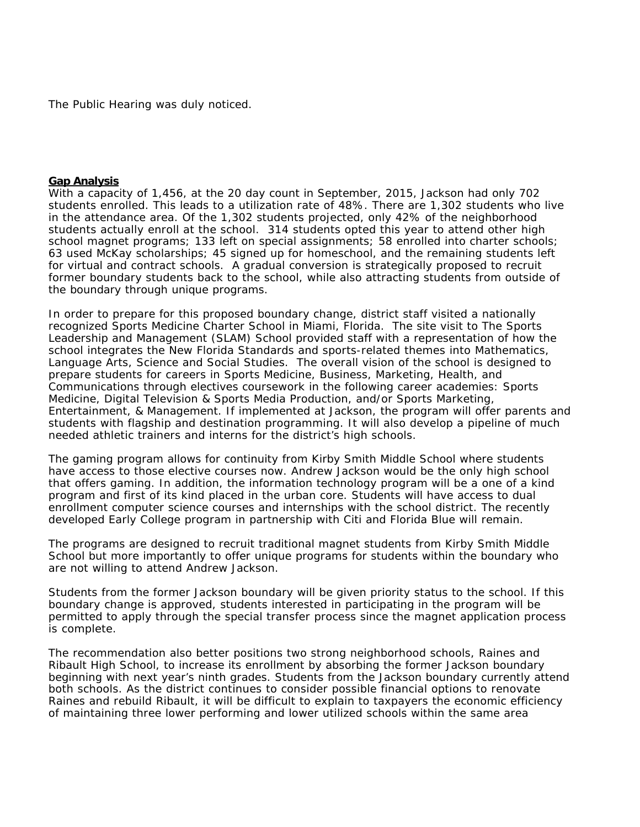The Public Hearing was duly noticed.

#### **Gap Analysis**

With a capacity of 1,456, at the 20 day count in September, 2015, Jackson had only 702 students enrolled. This leads to a utilization rate of 48%. There are 1,302 students who live in the attendance area. Of the 1,302 students projected, only 42% of the neighborhood students actually enroll at the school. 314 students opted this year to attend other high school magnet programs; 133 left on special assignments; 58 enrolled into charter schools; 63 used McKay scholarships; 45 signed up for homeschool, and the remaining students left for virtual and contract schools. A gradual conversion is strategically proposed to recruit former boundary students back to the school, while also attracting students from outside of the boundary through unique programs.

In order to prepare for this proposed boundary change, district staff visited a nationally recognized Sports Medicine Charter School in Miami, Florida. The site visit to The Sports Leadership and Management (SLAM) School provided staff with a representation of how the school integrates the New Florida Standards and sports-related themes into Mathematics, Language Arts, Science and Social Studies. The overall vision of the school is designed to prepare students for careers in Sports Medicine, Business, Marketing, Health, and Communications through electives coursework in the following career academies: Sports Medicine, Digital Television & Sports Media Production, and/or Sports Marketing, Entertainment, & Management. If implemented at Jackson, the program will offer parents and students with flagship and destination programming. It will also develop a pipeline of much needed athletic trainers and interns for the district's high schools.

The gaming program allows for continuity from Kirby Smith Middle School where students have access to those elective courses now. Andrew Jackson would be the only high school that offers gaming. In addition, the information technology program will be a one of a kind program and first of its kind placed in the urban core. Students will have access to dual enrollment computer science courses and internships with the school district. The recently developed Early College program in partnership with Citi and Florida Blue will remain.

The programs are designed to recruit traditional magnet students from Kirby Smith Middle School but more importantly to offer unique programs for students within the boundary who are not willing to attend Andrew Jackson.

Students from the former Jackson boundary will be given priority status to the school. If this boundary change is approved, students interested in participating in the program will be permitted to apply through the special transfer process since the magnet application process is complete.

The recommendation also better positions two strong neighborhood schools, Raines and Ribault High School, to increase its enrollment by absorbing the former Jackson boundary beginning with next year's ninth grades. Students from the Jackson boundary currently attend both schools. As the district continues to consider possible financial options to renovate Raines and rebuild Ribault, it will be difficult to explain to taxpayers the economic efficiency of maintaining three lower performing and lower utilized schools within the same area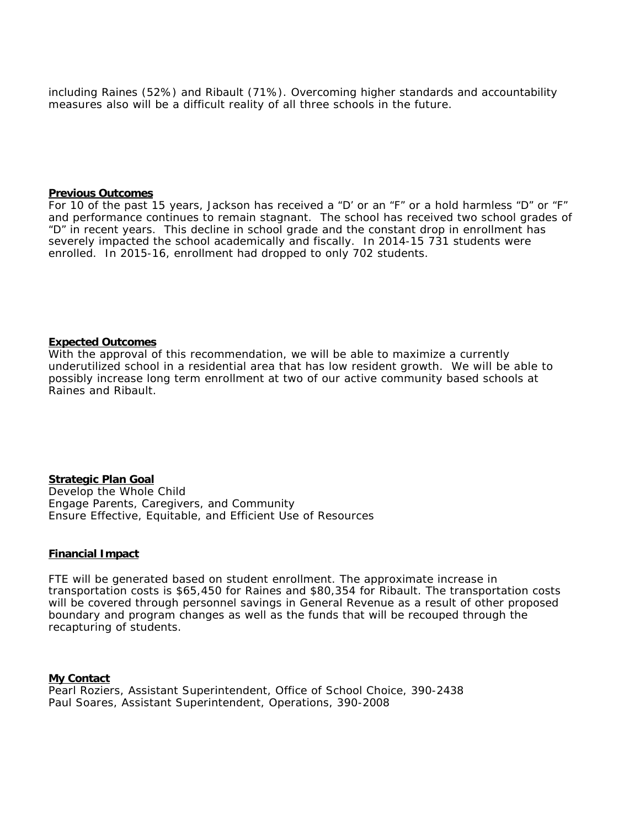including Raines (52%) and Ribault (71%). Overcoming higher standards and accountability measures also will be a difficult reality of all three schools in the future.

#### **Previous Outcomes**

For 10 of the past 15 years, Jackson has received a "D' or an "F" or a hold harmless "D" or "F" and performance continues to remain stagnant. The school has received two school grades of "D" in recent years. This decline in school grade and the constant drop in enrollment has severely impacted the school academically and fiscally. In 2014-15 731 students were enrolled. In 2015-16, enrollment had dropped to only 702 students.

### **Expected Outcomes**

With the approval of this recommendation, we will be able to maximize a currently underutilized school in a residential area that has low resident growth. We will be able to possibly increase long term enrollment at two of our active community based schools at Raines and Ribault.

**Strategic Plan Goal** Develop the Whole Child Engage Parents, Caregivers, and Community Ensure Effective, Equitable, and Efficient Use of Resources

## **Financial Impact**

FTE will be generated based on student enrollment. The approximate increase in transportation costs is \$65,450 for Raines and \$80,354 for Ribault. The transportation costs will be covered through personnel savings in General Revenue as a result of other proposed boundary and program changes as well as the funds that will be recouped through the recapturing of students.

**My Contact** Pearl Roziers, Assistant Superintendent, Office of School Choice, 390-2438 Paul Soares, Assistant Superintendent, Operations, 390-2008